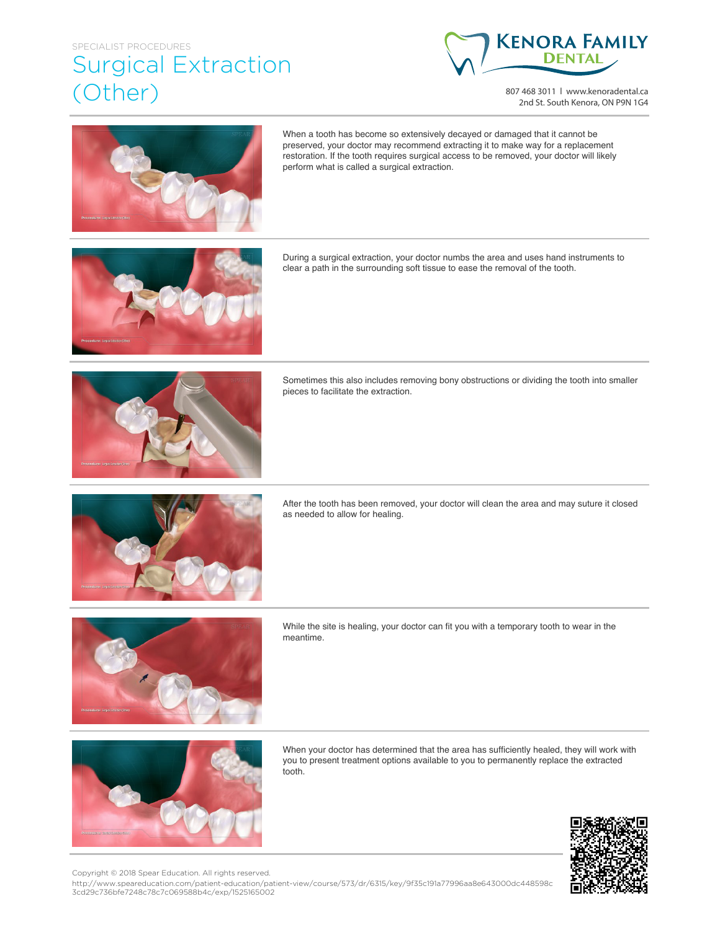## SPECIALIST PROCEDURES Surgical Extraction (Other)



807 468 3011 | www.kenoradental.ca 2nd St. South Kenora, ON P9N 1G4



When a tooth has become so extensively decayed or damaged that it cannot be preserved, your doctor may recommend extracting it to make way for a replacement restoration. If the tooth requires surgical access to be removed, your doctor will likely perform what is called a surgical extraction.



During a surgical extraction, your doctor numbs the area and uses hand instruments to clear a path in the surrounding soft tissue to ease the removal of the tooth.



Sometimes this also includes removing bony obstructions or dividing the tooth into smaller pieces to facilitate the extraction.



After the tooth has been removed, your doctor will clean the area and may suture it closed as needed to allow for healing.



While the site is healing, your doctor can fit you with a temporary tooth to wear in the meantime.



When your doctor has determined that the area has sufficiently healed, they will work with you to present treatment options available to you to permanently replace the extracted tooth.



Copyright © 2018 Spear Education. All rights reserved.

http://www.speareducation.com/patient-education/patient-view/course/573/dr/6315/key/9f35c191a77996aa8e643000dc448598c 3cd29c736bfe7248c78c7c069588b4c/exp/1525165002